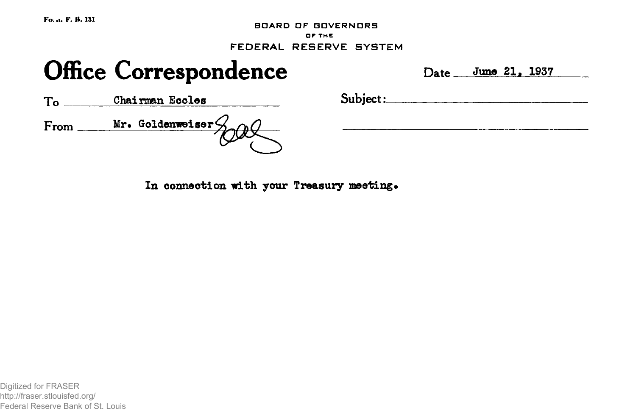**Fo; .t\* F. H. 131**

**BOARD OF GOVERNORS OF THE FEDERAL RESERVE SYSTEM**

# Office Correspondence Date June 21, 1937

To Chairman Eccles Subject: From <u>Mr. Goldenweiser</u>

In connection with your Treasury meeting.

Digitized for FRASER http://fraser.stlouisfed.org/ Federal Reserve Bank of St. Louis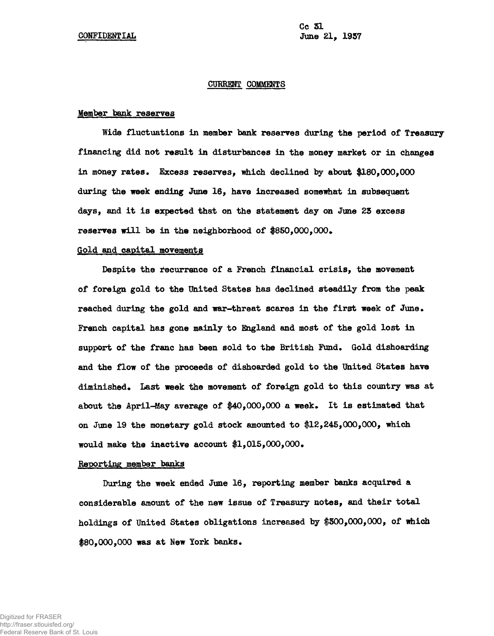# **CURRENT COMMENTS**

## **Member bank reserves**

**Wide fluctuations in member bank reserves during the period of Treasury financing did not result in disturbances in the money market or in changes in money rates. Excess reserves, which declined by about #180,000,000 during the week ending June 16, have increased somewhat in subsequent days, and it is expected that on the statement day on June 25 excess reserves will be in the neighborhood of #850,000,000\***

# **Gold and capital movements**

Despite the recurrence of a French financial crisis, the movement **of foreign gold to the United States has declined steadily from the peak reached during the gold and war-threat scares in the first week of June\* French capital has gone mainly to England and most of the gold lost in** support of the franc has been sold to the British Fund. Gold dishoarding **and the flow of the proceeds of dishoarded gold to the United States have diminished\* Last week the movement of foreign gold to this country was at about the April-May average of #40,000,000 a week. It is estimated that on June 19 the monetary gold stock amounted to \$12,245,000,000, which would make the inactive account #1,015,000,000\***

#### **Reporting member banks**

**During the week ended June 16, reporting member banks acquired a considerable amount of the new issue of Treasury notes, and their total holdings of United States obligations increased by #500,000,000, of which** \$80,000,000 was at New York banks.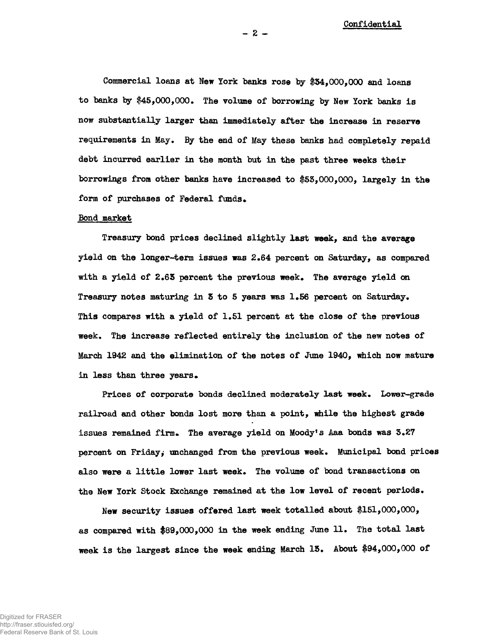**Commercial loans at New York banks rose by 154,000,000 and loans to banks by #45,000,000\* The volume of borrowing by New York banks is now substantially larger than immediately after the increase in reserve requirements in May, By the end of May these banks had completely repaid debt incurred earlier in the month but in the past three weeks their borrowings from other banks have increased to #63,000,000, largely in the** form of purchases of Federal funds.

#### **Bond market**

**Treasury bond prices declined slightly last week, and the average** yield on the longer-term issues was 2.64 percent on Saturday, as compared with a yield of 2.65 percent the previous week. The average yield on Treasury notes maturing in 3 to 5 years was 1.56 percent on Saturday. **This compares with a yield of 1.51 percent at the close of the previous week. The increase reflected entirely the inclusion of the new notes of March 1942 and the elimination of the notes of June 1940, which now mature** in less than three years.

Prices of corporate bonds declined moderately last week. Lower-grade **railroad and other bonds lost more than a point, while the highest grade** issues remained firm. The average yield on Moody's Aaa bonds was 3.27 percent on Friday, unchanged from the previous week. Municipal bond prices also were a little lower last week. The volume of bond transactions on the New York Stock Exchange remained at the low level of recent periods.

**New security issues offered last week totalled about #151,000,000, as compared with #89,000,000 in the week ending June 11. The total last week is the largest since the week ending March 15. About #94,000,000 of**

**- 2 -**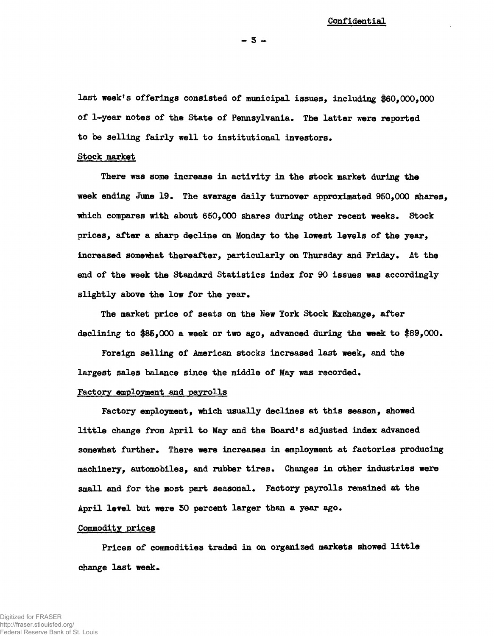**last week<sup>f</sup>s offerings consisted of municipal issues, including \$60,000,000 of 1-year notes of the State of Pennsylvania. The latter were reported to be selling fairly well to institutional investors.**

#### **Stock market**

**There was some increase in activity in the stock market during the week ending June 19\* The average daily turnover approximated 950,000 shares, which compares with about 650,000 shares during other recent weeks. Stock prices, after a sharp decline on Monday to the lowest levels of the year, increased somewhat thereafter, particularly on Thursday and Friday. At the end of the week the Standard Statistics index for 90 issues was accordingly slightly above the low for the year.**

**The market price of seats on the Hew York Stock Exchange, after declining to #85,000 a week or two ago, advanced during the week to f89,000.**

**Foreign selling of American stocks increased last week, and the largest sales balance since the middle of May was recorded.**

# **Factory employment and payrolls**

**Factory employment, which usually declines at this season, showed little change from April to May and the Board<sup>1</sup> s adjusted index advanced somewhat further. There were increases in employment at factories producing machinery, automobiles, and rubber tires. Changes in other industries were small and for the most part seasonal. Factory payrolls remained at the April level but were 50 percent larger than a year ago.**

## **Commodity prices**

**Prices of commodities traded in on organized markets showed little** change last week.

**- 5 -**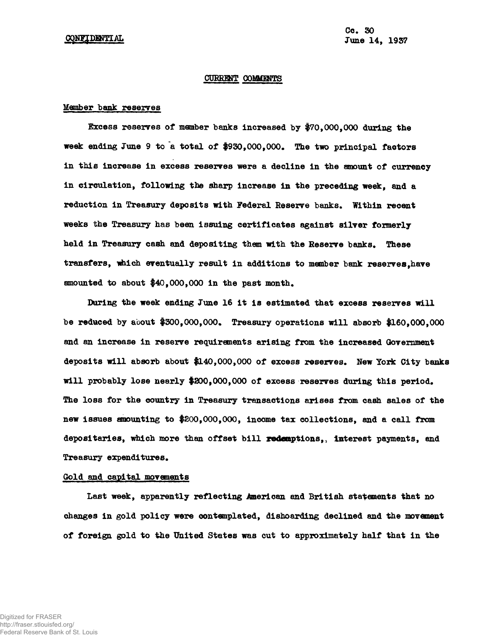#### CURRENT COMMENTS

# **Member bank reserves**

**Excess reserves of member banks increased by #70,000,000 during the week ending June 9 to a total of #930,000,000. The two principal factors in this increase in excess reserves were a decline in the amount of currency in circulation, following the sharp increase in the preceding week, and a reduction in Treasury deposits with Federal Reserve banks. Within recent weeks the Treasury has been issuing certificates against silver formerly held in Treasury cash and depositing them with the Reserve banks. These transfers, which eventually result in additions to member bank reserves,have amounted to about #40,000,000 in the past month.**

**Daring the week ending June 16 it is estimated that excess reserves will be reduced by about #300,000,000. Treasury operations will absorb #160,000,000 and an increase in reserve requirements arising from the increased Government deposits will absorb about #140,000,000 of excess reserves. New York City banks will probably lose nearly #300,000,000 of excess reserves during this period. The loss for the country in Treasury transactions arises from cash sales of the new issues amounting to #200,000,000, income tax collections, and a call from depositaries, which more than offset bill redemptions,, interest payments, and Treasury expenditures.**

# **Gold and capital movements**

**Last week, apparently reflecting American and British statements that no changes in gold policy were contemplated, dishoarding declined and the movement of foreign gold to the United States was cut to approximately half that in the**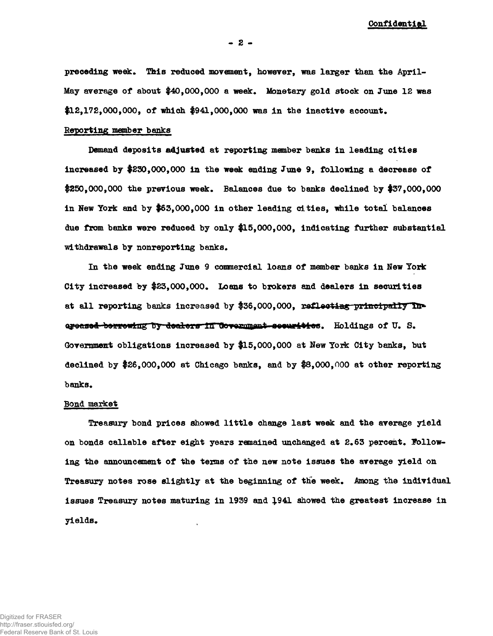preceding week. This reduced movement, however, was larger than the April-May average of about \$40,000,000 a week. Monetary gold stock on June 12 was  $$12,172,000,000,$  of which  $$941,000,000$  was in the inactive account.

# **Reporting member banks**

**Demand deposits adjusted at reporting member banks in leading cities Increased by \$230,000,000 in the week ending June 9, following a decrease of** \$250,000,000 the previous week. Balances due to banks declined by \$37,000,000 **in New York and by \$63,000,000 in other leading cities, while total balances due from banks were reduced by only \$15,000,000, indicating further substantial** withdrawals by nonreporting banks.

**In the week ending June 9 commercial loans of member banks in New York City increased by \$23,000,000\* Loans to brokers and dealers in securities** at all reporting banks increased by \$36,000,000, reflecting principally Inareased berrewing by dealers in dovernment seeurities. Holdings of U.S. **Government obligations increased by \$15,000,000 at New York City banks, but declined by \$26,000,000 at Chicago banks, and by \$8,000,000 at other reporting** banks.

# **Bond market**

**Treasury bond prices showed little change last week and the average yield** on bonds callable after eight years remained unchanged at 2.63 percent. Follow**ing the announcement of the terms of the new note issues the average yield on Treasury notes rose slightly at the beginning of the week\* Among the individual issues Treasury notes maturing in 1939 and J.941 showed the greatest increase in yields\***

**- 2 -**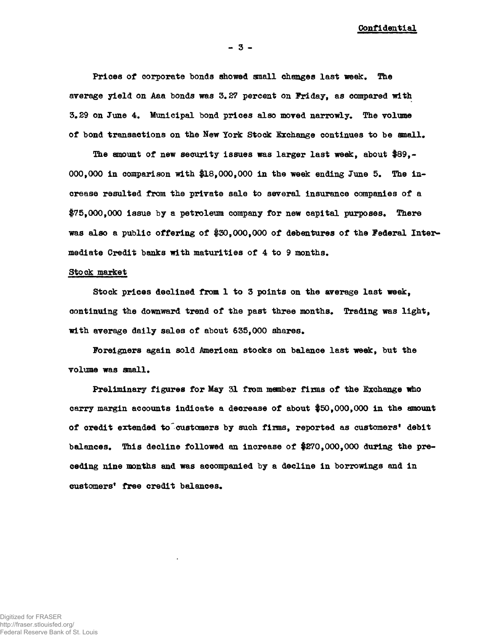**Prices of corporate bonds showed small changes last week. The average yield on Aaa bonds was 3.27 percent on Friday, as compared with 3.29 on June 4. Municipal bond prices also moved narrowly. The volume of bond transactions on the New York Stock Exchange continues to be small.**

**The amount of new security issues was larger last week, about \$89,- 000,000 in comparison with #18,000,000 in the week ending June 5. The increase resulted from the private sale to several insurance companies of a \$75,000,000 issue by a petroleum company for new capital purposes. There** was also a public offering of \$30,000,000 of debentures of the Federal Inter**mediate Credit banks with maturities of 4 to 9 months.**

# **Stock market**

**Stock prices declined from 1 to 3 points on the average last week, continuing the downward trend of the past three months. Trading was light, with average daily sales of about 635,000 shares.**

**Foreigners again sold American stocks on balance last week, but the volume was small.**

**Preliminary figures for May 31 from member fixms of the Exchange who carry margin accounts indicate a decrease of about \$50,000,000 in the amount of credit extended to customers by such firms, reported as customers<sup>1</sup> debit balances. This decline followed an increase of \$270,000,000 during the preceding nine months and was accompanied by a decline in borrowings and in** customers<sup>*'*</sup> free credit balances.

**- 3 -**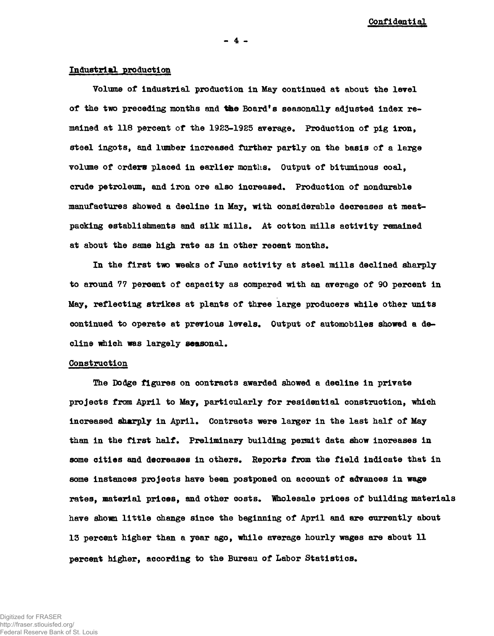# **Industrial production**

**Volume of industrial production in May continued at about the level of the two preceding months and tfee Board's seasonally adjusted index remained at 118 percent of the 1923-1925 average. Production of pig iron, steel ingots, and lumber increased further partly on the basis of a large** volume of orders placed in earlier months. Output of bituminous coal, **crude petroleum, and iron ore also increased\* Production of nondurable manufactures showed a decline in May, with considerable decreases at meatpacking establishments and silk mills. At cotton mills activity remained at about the same high rate as in other recent months.**

In the first two weeks of June activity at steel mills declined sharply **to around 77 percent of capacity as compared with an average of 90 percent in May, reflecting strikes at plants of three large producers while other units continued to operate at previous levels. Output of automobiles showed a decline which was largely seasonal.**

# **Construction**

**The Dodge figures on contracts awarded showed a decline in private projects from April to May, particularly for residential construction, which increased sharply in April. Contracts were larger in the last half of May than in the first half. Preliminary building peimit data show increases in some cities and decreases in others. Reports from the field indicate that in some instances projects have been postponed on account of advances in wage rates, material prices, and other costs. Wholesale prices of building materials have shown little change since the beginning of April and are currently about 13 percent higher than a year ago, while average hourly wages are about 11 percent higher, according to the Bureau of Labor Statistics.**

**- 4 -**